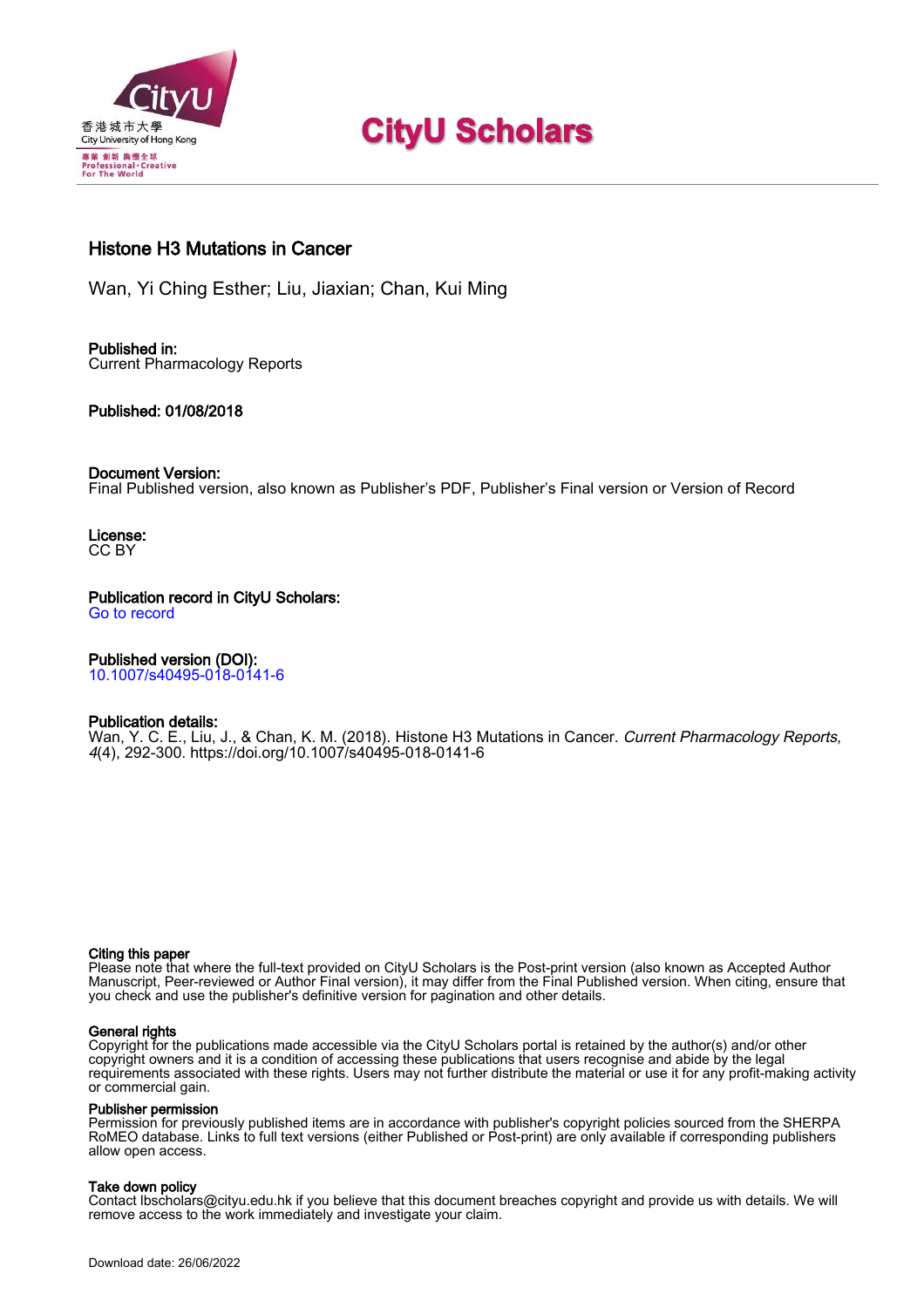

# **CityU Scholars**

## Histone H3 Mutations in Cancer

Wan, Yi Ching Esther; Liu, Jiaxian; Chan, Kui Ming

#### Published in: Current Pharmacology Reports

#### Published: 01/08/2018

#### Document Version:

Final Published version, also known as Publisher's PDF, Publisher's Final version or Version of Record

License: CC BY

Publication record in CityU Scholars: [Go to record](https://scholars.cityu.edu.hk/en/publications/histone-h3-mutations-in-cancer(1bf53a16-9efc-4a4a-b400-c929512e5ffc).html)

### Published version (DOI):

[10.1007/s40495-018-0141-6](https://doi.org/10.1007/s40495-018-0141-6)

#### Publication details:

[Wan, Y. C. E.](https://scholars.cityu.edu.hk/en/persons/yi-ching-esther-wan(5173e3ff-05eb-4f77-a3f9-3d2f8d5ac33c).html)[, Liu, J.](https://scholars.cityu.edu.hk/en/persons/jiaxian-liu(5c1d2290-f0a4-4a20-a874-7b08630b93bd).html)[, & Chan, K. M.](https://scholars.cityu.edu.hk/en/persons/kui-ming-chan(61f85676-c274-46d3-b98e-32e50cc3170f).html) (2018). [Histone H3 Mutations in Cancer.](https://scholars.cityu.edu.hk/en/publications/histone-h3-mutations-in-cancer(1bf53a16-9efc-4a4a-b400-c929512e5ffc).html) [Current Pharmacology Reports](https://scholars.cityu.edu.hk/en/journals/current-pharmacology-reports(908fdfcf-151c-42d4-ba8b-7a4d53686195)/publications.html), 4(4), 292-300. <https://doi.org/10.1007/s40495-018-0141-6>

#### Citing this paper

Please note that where the full-text provided on CityU Scholars is the Post-print version (also known as Accepted Author Manuscript, Peer-reviewed or Author Final version), it may differ from the Final Published version. When citing, ensure that you check and use the publisher's definitive version for pagination and other details.

#### General rights

Copyright for the publications made accessible via the CityU Scholars portal is retained by the author(s) and/or other copyright owners and it is a condition of accessing these publications that users recognise and abide by the legal requirements associated with these rights. Users may not further distribute the material or use it for any profit-making activity or commercial gain.

#### Publisher permission

Permission for previously published items are in accordance with publisher's copyright policies sourced from the SHERPA RoMEO database. Links to full text versions (either Published or Post-print) are only available if corresponding publishers allow open access.

#### Take down policy

Contact lbscholars@cityu.edu.hk if you believe that this document breaches copyright and provide us with details. We will remove access to the work immediately and investigate your claim.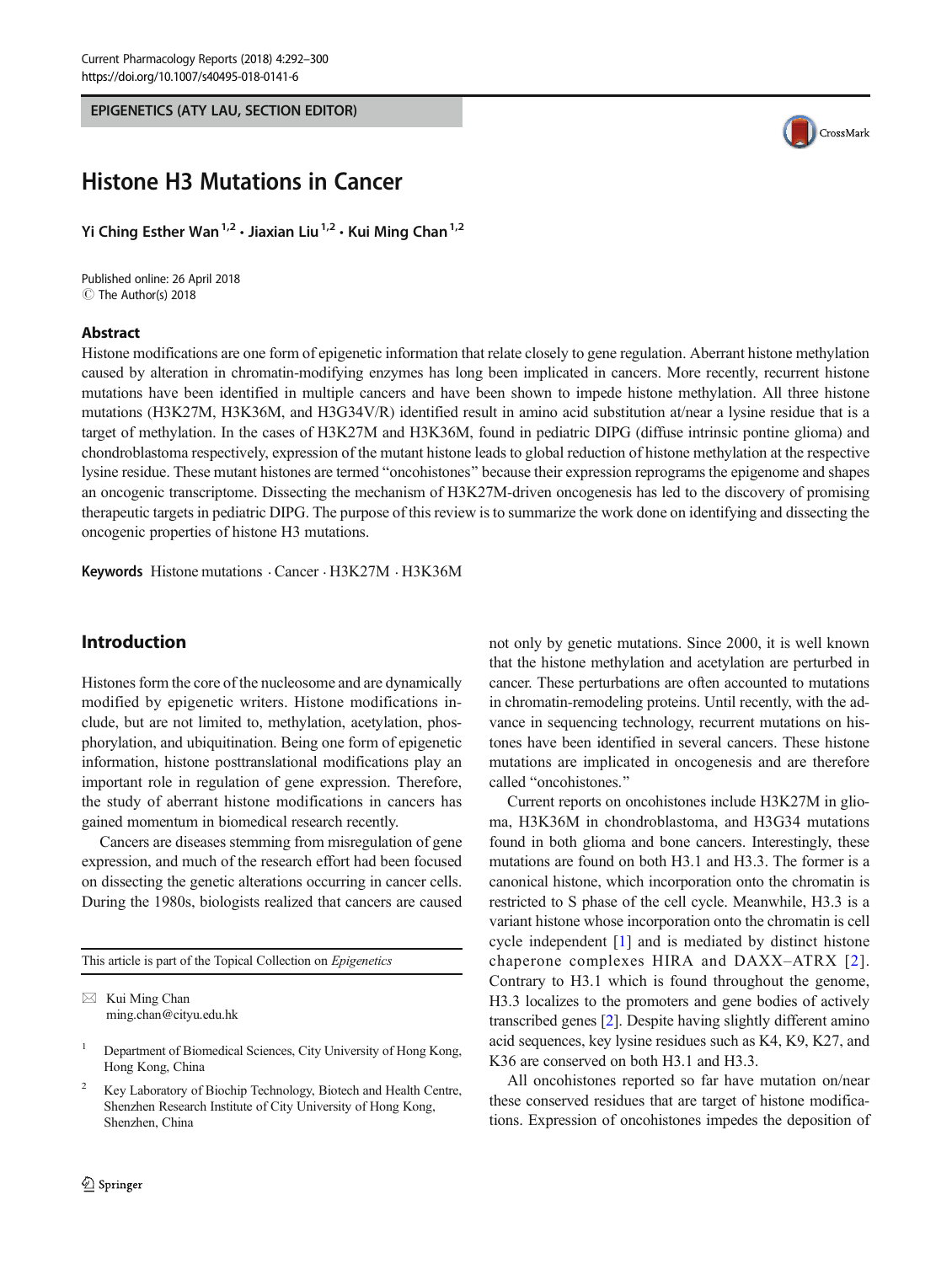<span id="page-1-0"></span>EPIGENETICS (ATY LAU, SECTION EDITOR)



# Histone H3 Mutations in Cancer

Yi Ching Esther Wan<sup>1,2</sup>  $\cdot$  Jiaxian Liu<sup>1,2</sup>  $\cdot$  Kui Ming Chan<sup>1,2</sup>

Published online: 26 April 2018 C The Author(s) 2018

#### Abstract

Histone modifications are one form of epigenetic information that relate closely to gene regulation. Aberrant histone methylation caused by alteration in chromatin-modifying enzymes has long been implicated in cancers. More recently, recurrent histone mutations have been identified in multiple cancers and have been shown to impede histone methylation. All three histone mutations (H3K27M, H3K36M, and H3G34V/R) identified result in amino acid substitution at/near a lysine residue that is a target of methylation. In the cases of H3K27M and H3K36M, found in pediatric DIPG (diffuse intrinsic pontine glioma) and chondroblastoma respectively, expression of the mutant histone leads to global reduction of histone methylation at the respective lysine residue. These mutant histones are termed "oncohistones" because their expression reprograms the epigenome and shapes an oncogenic transcriptome. Dissecting the mechanism of H3K27M-driven oncogenesis has led to the discovery of promising therapeutic targets in pediatric DIPG. The purpose of this review is to summarize the work done on identifying and dissecting the oncogenic properties of histone H3 mutations.

Keywords Histone mutations . Cancer . H3K27M . H3K36M

#### Introduction

Histones form the core of the nucleosome and are dynamically modified by epigenetic writers. Histone modifications include, but are not limited to, methylation, acetylation, phosphorylation, and ubiquitination. Being one form of epigenetic information, histone posttranslational modifications play an important role in regulation of gene expression. Therefore, the study of aberrant histone modifications in cancers has gained momentum in biomedical research recently.

Cancers are diseases stemming from misregulation of gene expression, and much of the research effort had been focused on dissecting the genetic alterations occurring in cancer cells. During the 1980s, biologists realized that cancers are caused

This article is part of the Topical Collection on Epigenetics

 $\boxtimes$  Kui Ming Chan [ming.chan@cityu.edu.hk](mailto:ming.chan@cityu.edu.hk) not only by genetic mutations. Since 2000, it is well known that the histone methylation and acetylation are perturbed in cancer. These perturbations are often accounted to mutations in chromatin-remodeling proteins. Until recently, with the advance in sequencing technology, recurrent mutations on histones have been identified in several cancers. These histone mutations are implicated in oncogenesis and are therefore called "oncohistones."

Current reports on oncohistones include H3K27M in glioma, H3K36M in chondroblastoma, and H3G34 mutations found in both glioma and bone cancers. Interestingly, these mutations are found on both H3.1 and H3.3. The former is a canonical histone, which incorporation onto the chromatin is restricted to S phase of the cell cycle. Meanwhile, H3.3 is a variant histone whose incorporation onto the chromatin is cell cycle independent [[1](#page-7-0)] and is mediated by distinct histone chaperone complexes HIRA and DAXX–ATRX [[2\]](#page-7-0). Contrary to H3.1 which is found throughout the genome, H3.3 localizes to the promoters and gene bodies of actively transcribed genes [\[2](#page-7-0)]. Despite having slightly different amino acid sequences, key lysine residues such as K4, K9, K27, and K36 are conserved on both H3.1 and H3.3.

All oncohistones reported so far have mutation on/near these conserved residues that are target of histone modifications. Expression of oncohistones impedes the deposition of

<sup>&</sup>lt;sup>1</sup> Department of Biomedical Sciences, City University of Hong Kong, Hong Kong, China

<sup>2</sup> Key Laboratory of Biochip Technology, Biotech and Health Centre, Shenzhen Research Institute of City University of Hong Kong, Shenzhen, China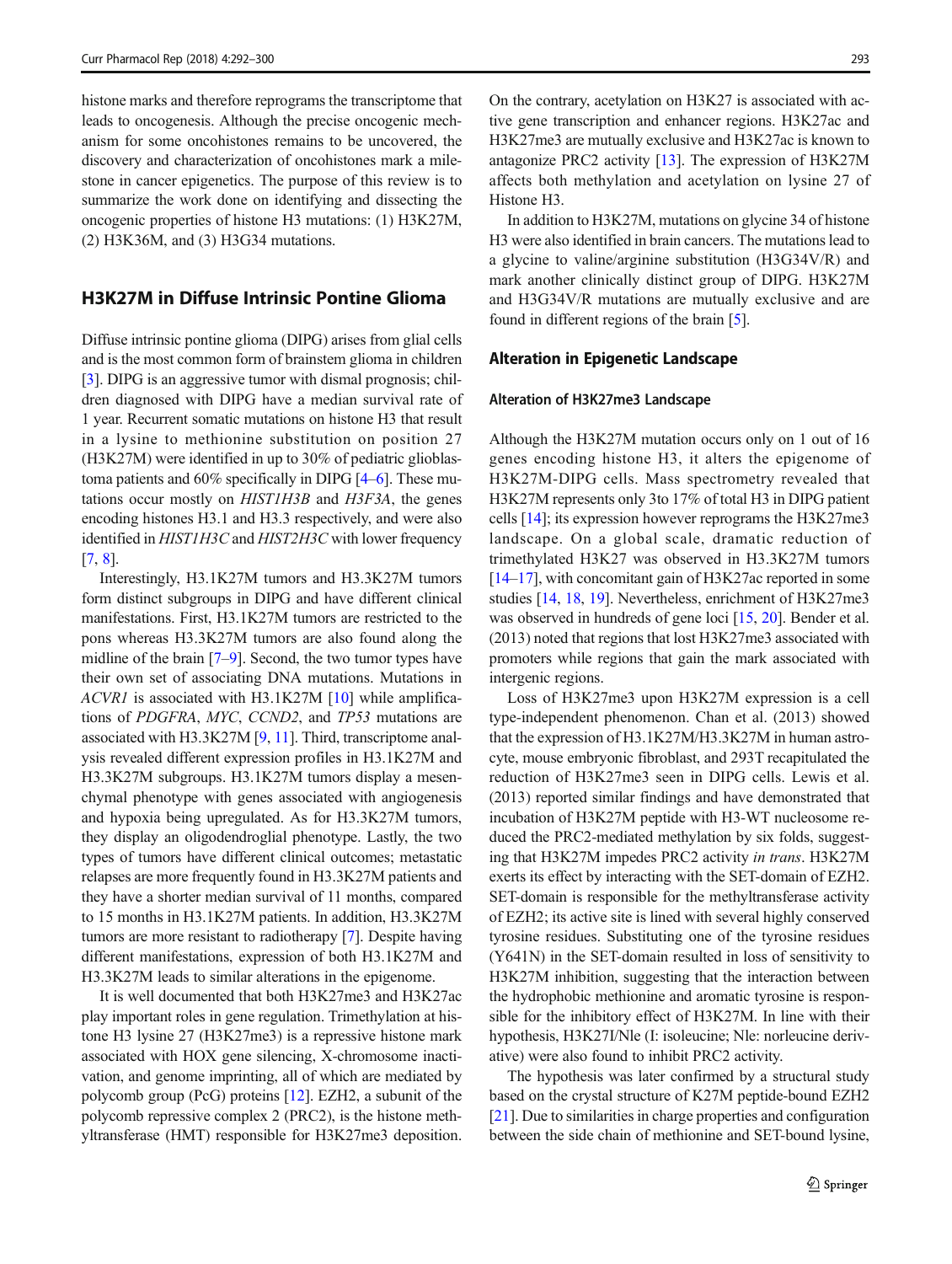histone marks and therefore reprograms the transcriptome that leads to oncogenesis. Although the precise oncogenic mechanism for some oncohistones remains to be uncovered, the discovery and characterization of oncohistones mark a milestone in cancer epigenetics. The purpose of this review is to summarize the work done on identifying and dissecting the oncogenic properties of histone H3 mutations: (1) H3K27M, (2) H3K36M, and (3) H3G34 mutations.

#### H3K27M in Diffuse Intrinsic Pontine Glioma

Diffuse intrinsic pontine glioma (DIPG) arises from glial cells and is the most common form of brainstem glioma in children [\[3](#page-7-0)]. DIPG is an aggressive tumor with dismal prognosis; children diagnosed with DIPG have a median survival rate of 1 year. Recurrent somatic mutations on histone H3 that result in a lysine to methionine substitution on position 27 (H3K27M) were identified in up to 30% of pediatric glioblastoma patients and 60% specifically in DIPG [[4](#page-7-0)–[6](#page-7-0)]. These mutations occur mostly on HIST1H3B and H3F3A, the genes encoding histones H3.1 and H3.3 respectively, and were also identified in HIST1H3C and HIST2H3C with lower frequency [\[7](#page-7-0), [8\]](#page-7-0).

Interestingly, H3.1K27M tumors and H3.3K27M tumors form distinct subgroups in DIPG and have different clinical manifestations. First, H3.1K27M tumors are restricted to the pons whereas H3.3K27M tumors are also found along the midline of the brain [[7](#page-7-0)–[9](#page-8-0)]. Second, the two tumor types have their own set of associating DNA mutations. Mutations in ACVR1 is associated with H3.1K27M [\[10](#page-8-0)] while amplifications of PDGFRA, MYC, CCND2, and TP53 mutations are associated with H3.3K27M [\[9](#page-8-0), [11](#page-8-0)]. Third, transcriptome analysis revealed different expression profiles in H3.1K27M and H3.3K27M subgroups. H3.1K27M tumors display a mesenchymal phenotype with genes associated with angiogenesis and hypoxia being upregulated. As for H3.3K27M tumors, they display an oligodendroglial phenotype. Lastly, the two types of tumors have different clinical outcomes; metastatic relapses are more frequently found in H3.3K27M patients and they have a shorter median survival of 11 months, compared to 15 months in H3.1K27M patients. In addition, H3.3K27M tumors are more resistant to radiotherapy [\[7](#page-7-0)]. Despite having different manifestations, expression of both H3.1K27M and H3.3K27M leads to similar alterations in the epigenome.

It is well documented that both H3K27me3 and H3K27ac play important roles in gene regulation. Trimethylation at histone H3 lysine 27 (H3K27me3) is a repressive histone mark associated with HOX gene silencing, X-chromosome inactivation, and genome imprinting, all of which are mediated by polycomb group (PcG) proteins [\[12\]](#page-8-0). EZH2, a subunit of the polycomb repressive complex 2 (PRC2), is the histone methyltransferase (HMT) responsible for H3K27me3 deposition. On the contrary, acetylation on H3K27 is associated with active gene transcription and enhancer regions. H3K27ac and H3K27me3 are mutually exclusive and H3K27ac is known to antagonize PRC2 activity [\[13](#page-8-0)]. The expression of H3K27M affects both methylation and acetylation on lysine 27 of Histone H3.

In addition to H3K27M, mutations on glycine 34 of histone H3 were also identified in brain cancers. The mutations lead to a glycine to valine/arginine substitution (H3G34V/R) and mark another clinically distinct group of DIPG. H3K27M and H3G34V/R mutations are mutually exclusive and are found in different regions of the brain [\[5\]](#page-7-0).

#### Alteration in Epigenetic Landscape

#### Alteration of H3K27me3 Landscape

Although the H3K27M mutation occurs only on 1 out of 16 genes encoding histone H3, it alters the epigenome of H3K27M-DIPG cells. Mass spectrometry revealed that H3K27M represents only 3to 17% of total H3 in DIPG patient cells [\[14\]](#page-8-0); its expression however reprograms the H3K27me3 landscape. On a global scale, dramatic reduction of trimethylated H3K27 was observed in H3.3K27M tumors [\[14](#page-8-0)–[17\]](#page-8-0), with concomitant gain of H3K27ac reported in some studies [[14,](#page-8-0) [18,](#page-8-0) [19](#page-8-0)]. Nevertheless, enrichment of H3K27me3 was observed in hundreds of gene loci [[15,](#page-8-0) [20](#page-8-0)]. Bender et al. (2013) noted that regions that lost H3K27me3 associated with promoters while regions that gain the mark associated with intergenic regions.

Loss of H3K27me3 upon H3K27M expression is a cell type-independent phenomenon. Chan et al. (2013) showed that the expression of H3.1K27M/H3.3K27M in human astrocyte, mouse embryonic fibroblast, and 293T recapitulated the reduction of H3K27me3 seen in DIPG cells. Lewis et al. (2013) reported similar findings and have demonstrated that incubation of H3K27M peptide with H3-WT nucleosome reduced the PRC2-mediated methylation by six folds, suggesting that H3K27M impedes PRC2 activity in trans. H3K27M exerts its effect by interacting with the SET-domain of EZH2. SET-domain is responsible for the methyltransferase activity of EZH2; its active site is lined with several highly conserved tyrosine residues. Substituting one of the tyrosine residues (Y641N) in the SET-domain resulted in loss of sensitivity to H3K27M inhibition, suggesting that the interaction between the hydrophobic methionine and aromatic tyrosine is responsible for the inhibitory effect of H3K27M. In line with their hypothesis, H3K27I/Nle (I: isoleucine; Nle: norleucine derivative) were also found to inhibit PRC2 activity.

The hypothesis was later confirmed by a structural study based on the crystal structure of K27M peptide-bound EZH2 [\[21](#page-8-0)]. Due to similarities in charge properties and configuration between the side chain of methionine and SET-bound lysine,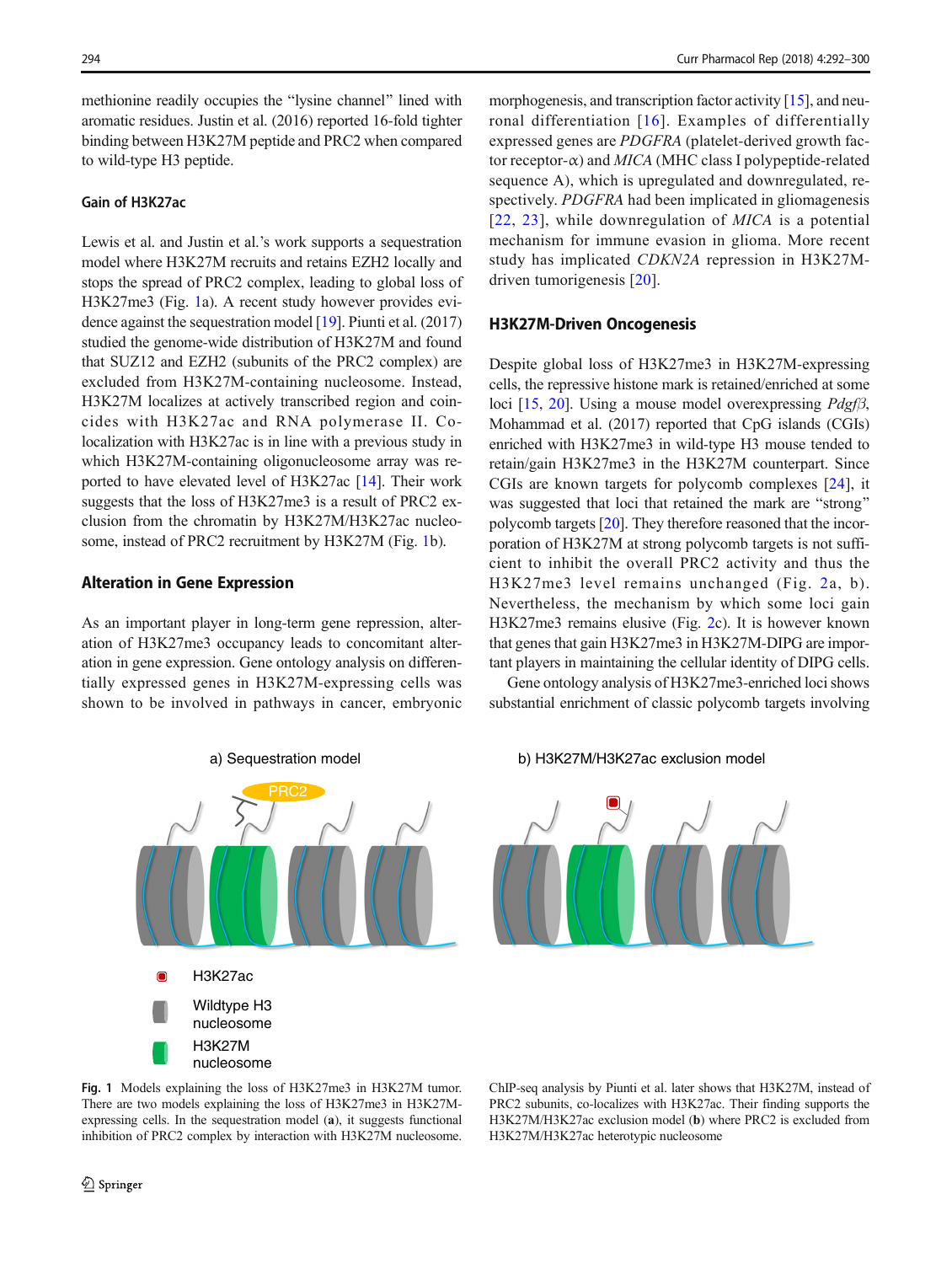methionine readily occupies the "lysine channel" lined with aromatic residues. Justin et al. (2016) reported 16-fold tighter binding between H3K27M peptide and PRC2 when compared to wild-type H3 peptide.

#### Gain of H3K27ac

Lewis et al. and Justin et al.'s work supports a sequestration model where H3K27M recruits and retains EZH2 locally and stops the spread of PRC2 complex, leading to global loss of H3K27me3 (Fig. 1a). A recent study however provides evidence against the sequestration model [[19\]](#page-8-0). Piunti et al. (2017) studied the genome-wide distribution of H3K27M and found that SUZ12 and EZH2 (subunits of the PRC2 complex) are excluded from H3K27M-containing nucleosome. Instead, H3K27M localizes at actively transcribed region and coincides with H3K27ac and RNA polymerase II. Colocalization with H3K27ac is in line with a previous study in which H3K27M-containing oligonucleosome array was reported to have elevated level of H3K27ac [[14\]](#page-8-0). Their work suggests that the loss of H3K27me3 is a result of PRC2 exclusion from the chromatin by H3K27M/H3K27ac nucleosome, instead of PRC2 recruitment by H3K27M (Fig. 1b).

#### Alteration in Gene Expression

As an important player in long-term gene repression, alteration of H3K27me3 occupancy leads to concomitant alteration in gene expression. Gene ontology analysis on differentially expressed genes in H3K27M-expressing cells was shown to be involved in pathways in cancer, embryonic



Fig. 1 Models explaining the loss of H3K27me3 in H3K27M tumor. There are two models explaining the loss of H3K27me3 in H3K27Mexpressing cells. In the sequestration model (a), it suggests functional inhibition of PRC2 complex by interaction with H3K27M nucleosome.

morphogenesis, and transcription factor activity [[15](#page-8-0)], and neuronal differentiation [[16](#page-8-0)]. Examples of differentially expressed genes are PDGFRA (platelet-derived growth factor receptor- $\alpha$ ) and MICA (MHC class I polypeptide-related sequence A), which is upregulated and downregulated, respectively. PDGFRA had been implicated in gliomagenesis [[22](#page-8-0), [23\]](#page-8-0), while downregulation of *MICA* is a potential mechanism for immune evasion in glioma. More recent study has implicated CDKN2A repression in H3K27Mdriven tumorigenesis [\[20\]](#page-8-0).

#### H3K27M-Driven Oncogenesis

Despite global loss of H3K27me3 in H3K27M-expressing cells, the repressive histone mark is retained/enriched at some loci [[15](#page-8-0), [20](#page-8-0)]. Using a mouse model overexpressing  $Pdgf\beta$ , Mohammad et al. (2017) reported that CpG islands (CGIs) enriched with H3K27me3 in wild-type H3 mouse tended to retain/gain H3K27me3 in the H3K27M counterpart. Since CGIs are known targets for polycomb complexes [[24](#page-8-0)], it was suggested that loci that retained the mark are "strong" polycomb targets [\[20\]](#page-8-0). They therefore reasoned that the incorporation of H3K27M at strong polycomb targets is not sufficient to inhibit the overall PRC2 activity and thus the H3K27me3 level remains unchanged (Fig. [2](#page-4-0)a, b). Nevertheless, the mechanism by which some loci gain H3K27me3 remains elusive (Fig. [2c](#page-4-0)). It is however known that genes that gain H3K27me3 in H3K27M-DIPG are important players in maintaining the cellular identity of DIPG cells.

Gene ontology analysis of H3K27me3-enriched loci shows substantial enrichment of classic polycomb targets involving

b) H3K27M/H3K27ac exclusion model



ChIP-seq analysis by Piunti et al. later shows that H3K27M, instead of PRC2 subunits, co-localizes with H3K27ac. Their finding supports the H3K27M/H3K27ac exclusion model (b) where PRC2 is excluded from H3K27M/H3K27ac heterotypic nucleosome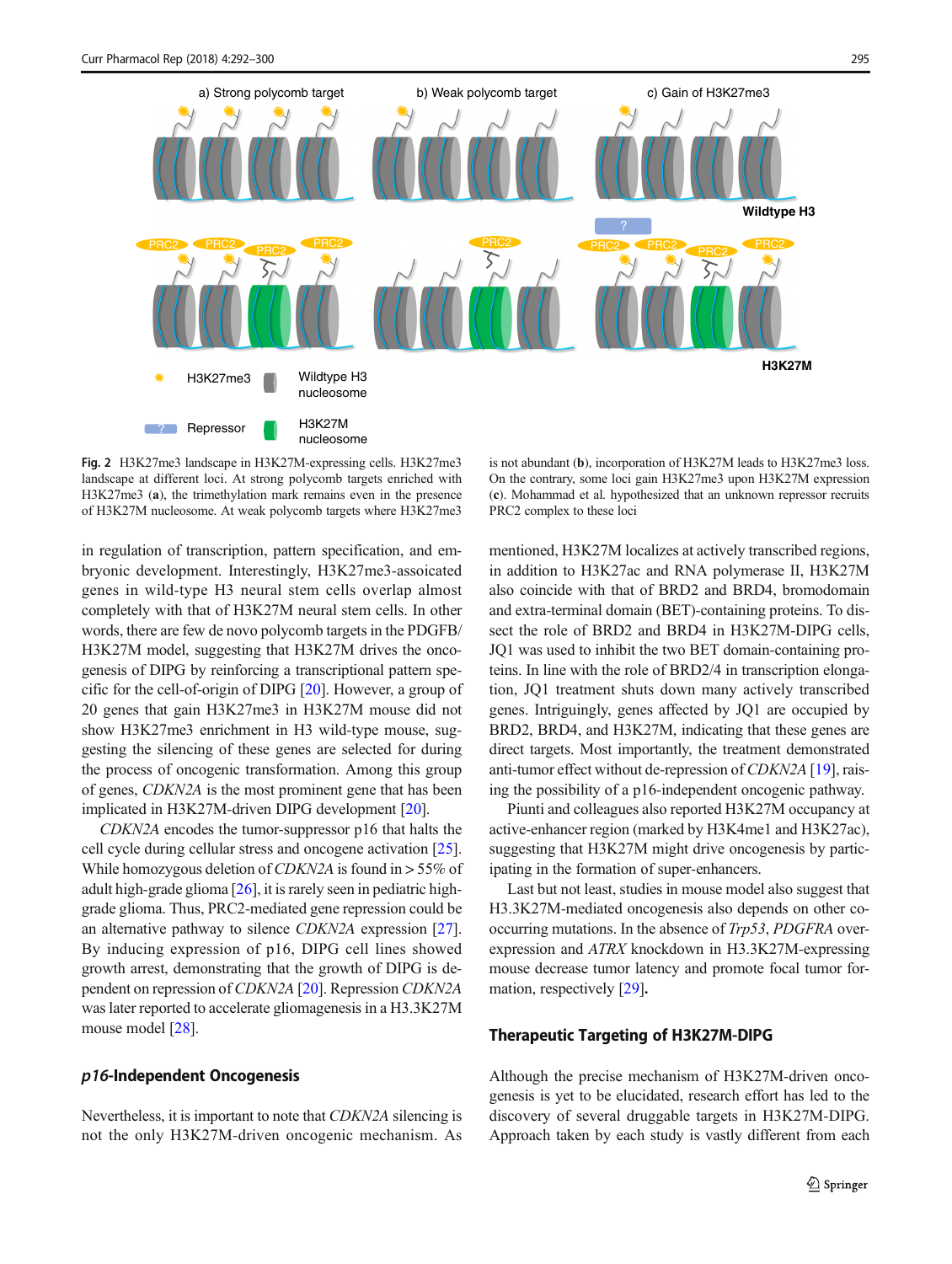<span id="page-4-0"></span>

Fig. 2 H3K27me3 landscape in H3K27M-expressing cells. H3K27me3 landscape at different loci. At strong polycomb targets enriched with H3K27me3 (a), the trimethylation mark remains even in the presence of H3K27M nucleosome. At weak polycomb targets where H3K27me3

in regulation of transcription, pattern specification, and embryonic development. Interestingly, H3K27me3-assoicated genes in wild-type H3 neural stem cells overlap almost completely with that of H3K27M neural stem cells. In other words, there are few de novo polycomb targets in the PDGFB/ H3K27M model, suggesting that H3K27M drives the oncogenesis of DIPG by reinforcing a transcriptional pattern specific for the cell-of-origin of DIPG [[20\]](#page-8-0). However, a group of 20 genes that gain H3K27me3 in H3K27M mouse did not show H3K27me3 enrichment in H3 wild-type mouse, suggesting the silencing of these genes are selected for during the process of oncogenic transformation. Among this group of genes, CDKN2A is the most prominent gene that has been implicated in H3K27M-driven DIPG development [[20\]](#page-8-0).

CDKN2A encodes the tumor-suppressor p16 that halts the cell cycle during cellular stress and oncogene activation [[25\]](#page-8-0). While homozygous deletion of CDKN2A is found in > 55% of adult high-grade glioma [[26\]](#page-8-0), it is rarely seen in pediatric highgrade glioma. Thus, PRC2-mediated gene repression could be an alternative pathway to silence CDKN2A expression [[27\]](#page-8-0). By inducing expression of p16, DIPG cell lines showed growth arrest, demonstrating that the growth of DIPG is dependent on repression of CDKN2A [\[20](#page-8-0)]. Repression CDKN2A was later reported to accelerate gliomagenesis in a H3.3K27M mouse model [\[28\]](#page-8-0).

#### p16-Independent Oncogenesis

Nevertheless, it is important to note that CDKN2A silencing is not the only H3K27M-driven oncogenic mechanism. As

is not abundant (b), incorporation of H3K27M leads to H3K27me3 loss. On the contrary, some loci gain H3K27me3 upon H3K27M expression (c). Mohammad et al. hypothesized that an unknown repressor recruits PRC2 complex to these loci

mentioned, H3K27M localizes at actively transcribed regions, in addition to H3K27ac and RNA polymerase II, H3K27M also coincide with that of BRD2 and BRD4, bromodomain and extra-terminal domain (BET)-containing proteins. To dissect the role of BRD2 and BRD4 in H3K27M-DIPG cells, JQ1 was used to inhibit the two BET domain-containing proteins. In line with the role of BRD2/4 in transcription elongation, JQ1 treatment shuts down many actively transcribed genes. Intriguingly, genes affected by JQ1 are occupied by BRD2, BRD4, and H3K27M, indicating that these genes are direct targets. Most importantly, the treatment demonstrated anti-tumor effect without de-repression of CDKN2A [\[19\]](#page-8-0), raising the possibility of a p16-independent oncogenic pathway.

Piunti and colleagues also reported H3K27M occupancy at active-enhancer region (marked by H3K4me1 and H3K27ac), suggesting that H3K27M might drive oncogenesis by participating in the formation of super-enhancers.

Last but not least, studies in mouse model also suggest that H3.3K27M-mediated oncogenesis also depends on other cooccurring mutations. In the absence of *Trp53*, *PDGFRA* overexpression and ATRX knockdown in H3.3K27M-expressing mouse decrease tumor latency and promote focal tumor formation, respectively [\[29](#page-8-0)].

#### Therapeutic Targeting of H3K27M-DIPG

Although the precise mechanism of H3K27M-driven oncogenesis is yet to be elucidated, research effort has led to the discovery of several druggable targets in H3K27M-DIPG. Approach taken by each study is vastly different from each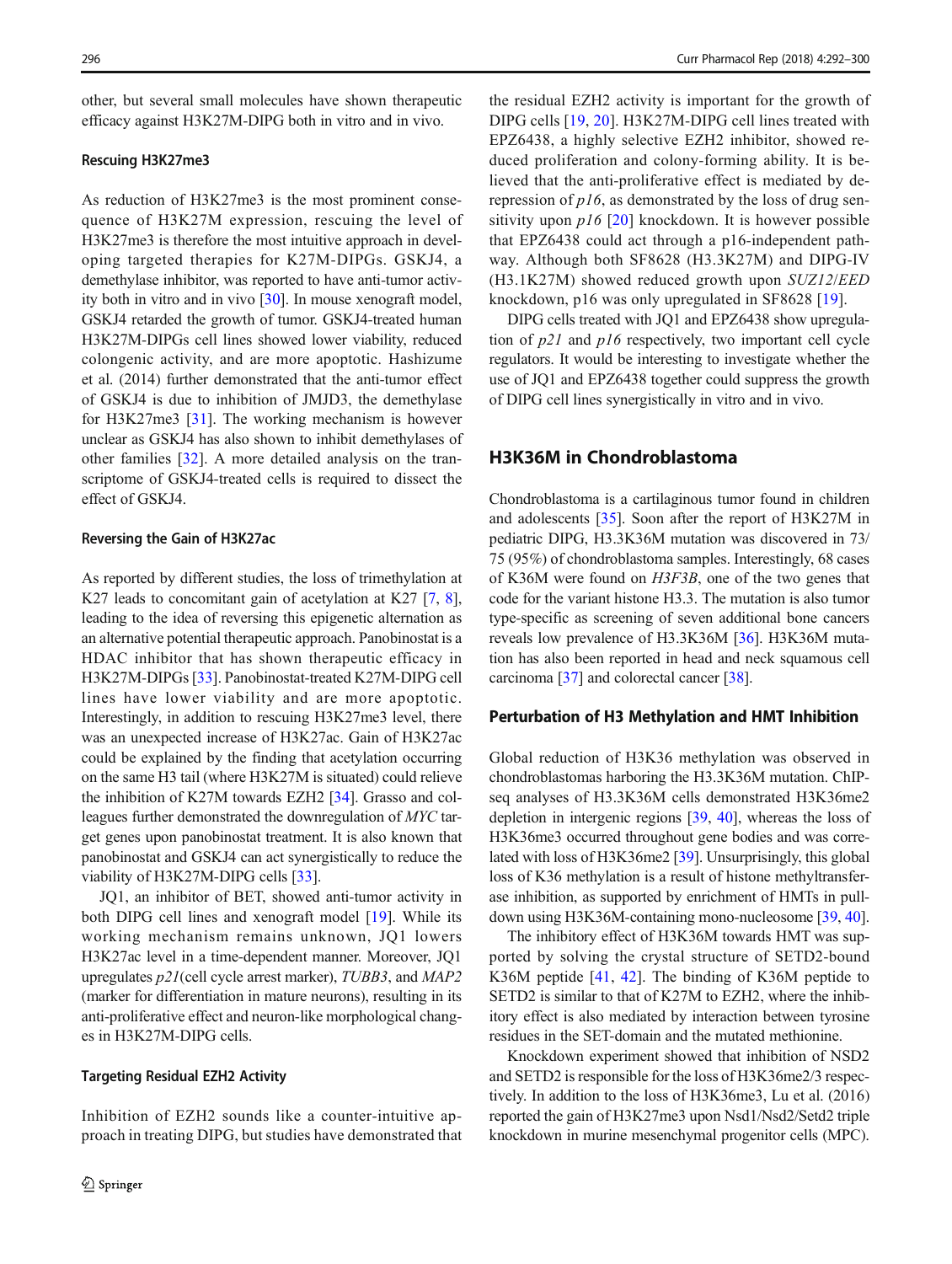other, but several small molecules have shown therapeutic efficacy against H3K27M-DIPG both in vitro and in vivo.

#### Rescuing H3K27me3

As reduction of H3K27me3 is the most prominent consequence of H3K27M expression, rescuing the level of H3K27me3 is therefore the most intuitive approach in developing targeted therapies for K27M-DIPGs. GSKJ4, a demethylase inhibitor, was reported to have anti-tumor activity both in vitro and in vivo [[30](#page-8-0)]. In mouse xenograft model, GSKJ4 retarded the growth of tumor. GSKJ4-treated human H3K27M-DIPGs cell lines showed lower viability, reduced colongenic activity, and are more apoptotic. Hashizume et al. (2014) further demonstrated that the anti-tumor effect of GSKJ4 is due to inhibition of JMJD3, the demethylase for H3K27me3 [[31\]](#page-8-0). The working mechanism is however unclear as GSKJ4 has also shown to inhibit demethylases of other families [\[32](#page-8-0)]. A more detailed analysis on the transcriptome of GSKJ4-treated cells is required to dissect the effect of GSKJ4.

#### Reversing the Gain of H3K27ac

As reported by different studies, the loss of trimethylation at K27 leads to concomitant gain of acetylation at K27 [[7,](#page-7-0) [8\]](#page-7-0), leading to the idea of reversing this epigenetic alternation as an alternative potential therapeutic approach. Panobinostat is a HDAC inhibitor that has shown therapeutic efficacy in H3K27M-DIPGs [\[33](#page-8-0)]. Panobinostat-treated K27M-DIPG cell lines have lower viability and are more apoptotic. Interestingly, in addition to rescuing H3K27me3 level, there was an unexpected increase of H3K27ac. Gain of H3K27ac could be explained by the finding that acetylation occurring on the same H3 tail (where H3K27M is situated) could relieve the inhibition of K27M towards EZH2 [\[34\]](#page-8-0). Grasso and colleagues further demonstrated the downregulation of MYC target genes upon panobinostat treatment. It is also known that panobinostat and GSKJ4 can act synergistically to reduce the viability of H3K27M-DIPG cells [[33\]](#page-8-0).

JQ1, an inhibitor of BET, showed anti-tumor activity in both DIPG cell lines and xenograft model [\[19](#page-8-0)]. While its working mechanism remains unknown, JQ1 lowers H3K27ac level in a time-dependent manner. Moreover, JQ1 upregulates p21(cell cycle arrest marker), TUBB3, and MAP2 (marker for differentiation in mature neurons), resulting in its anti-proliferative effect and neuron-like morphological changes in H3K27M-DIPG cells.

#### Targeting Residual EZH2 Activity

Inhibition of EZH2 sounds like a counter-intuitive approach in treating DIPG, but studies have demonstrated that the residual EZH2 activity is important for the growth of DIPG cells [\[19](#page-8-0), [20\]](#page-8-0). H3K27M-DIPG cell lines treated with EPZ6438, a highly selective EZH2 inhibitor, showed reduced proliferation and colony-forming ability. It is believed that the anti-proliferative effect is mediated by derepression of  $p16$ , as demonstrated by the loss of drug sensitivity upon  $p16$  [\[20](#page-8-0)] knockdown. It is however possible that EPZ6438 could act through a p16-independent pathway. Although both SF8628 (H3.3K27M) and DIPG-IV (H3.1K27M) showed reduced growth upon SUZ12/EED knockdown, p16 was only upregulated in SF8628 [[19\]](#page-8-0).

DIPG cells treated with JQ1 and EPZ6438 show upregulation of p21 and p16 respectively, two important cell cycle regulators. It would be interesting to investigate whether the use of JQ1 and EPZ6438 together could suppress the growth of DIPG cell lines synergistically in vitro and in vivo.

#### H3K36M in Chondroblastoma

Chondroblastoma is a cartilaginous tumor found in children and adolescents [\[35\]](#page-8-0). Soon after the report of H3K27M in pediatric DIPG, H3.3K36M mutation was discovered in 73/ 75 (95%) of chondroblastoma samples. Interestingly, 68 cases of K36M were found on H3F3B, one of the two genes that code for the variant histone H3.3. The mutation is also tumor type-specific as screening of seven additional bone cancers reveals low prevalence of H3.3K36M [\[36\]](#page-8-0). H3K36M mutation has also been reported in head and neck squamous cell carcinoma [\[37\]](#page-8-0) and colorectal cancer [[38\]](#page-8-0).

#### Perturbation of H3 Methylation and HMT Inhibition

Global reduction of H3K36 methylation was observed in chondroblastomas harboring the H3.3K36M mutation. ChIPseq analyses of H3.3K36M cells demonstrated H3K36me2 depletion in intergenic regions [\[39,](#page-8-0) [40\]](#page-9-0), whereas the loss of H3K36me3 occurred throughout gene bodies and was correlated with loss of H3K36me2 [[39](#page-8-0)]. Unsurprisingly, this global loss of K36 methylation is a result of histone methyltransferase inhibition, as supported by enrichment of HMTs in pulldown using H3K36M-containing mono-nucleosome [\[39](#page-8-0), [40\]](#page-9-0).

The inhibitory effect of H3K36M towards HMT was supported by solving the crystal structure of SETD2-bound K36M peptide [\[41](#page-9-0), [42\]](#page-9-0). The binding of K36M peptide to SETD2 is similar to that of K27M to EZH2, where the inhibitory effect is also mediated by interaction between tyrosine residues in the SET-domain and the mutated methionine.

Knockdown experiment showed that inhibition of NSD2 and SETD2 is responsible for the loss of H3K36me2/3 respectively. In addition to the loss of H3K36me3, Lu et al. (2016) reported the gain of H3K27me3 upon Nsd1/Nsd2/Setd2 triple knockdown in murine mesenchymal progenitor cells (MPC).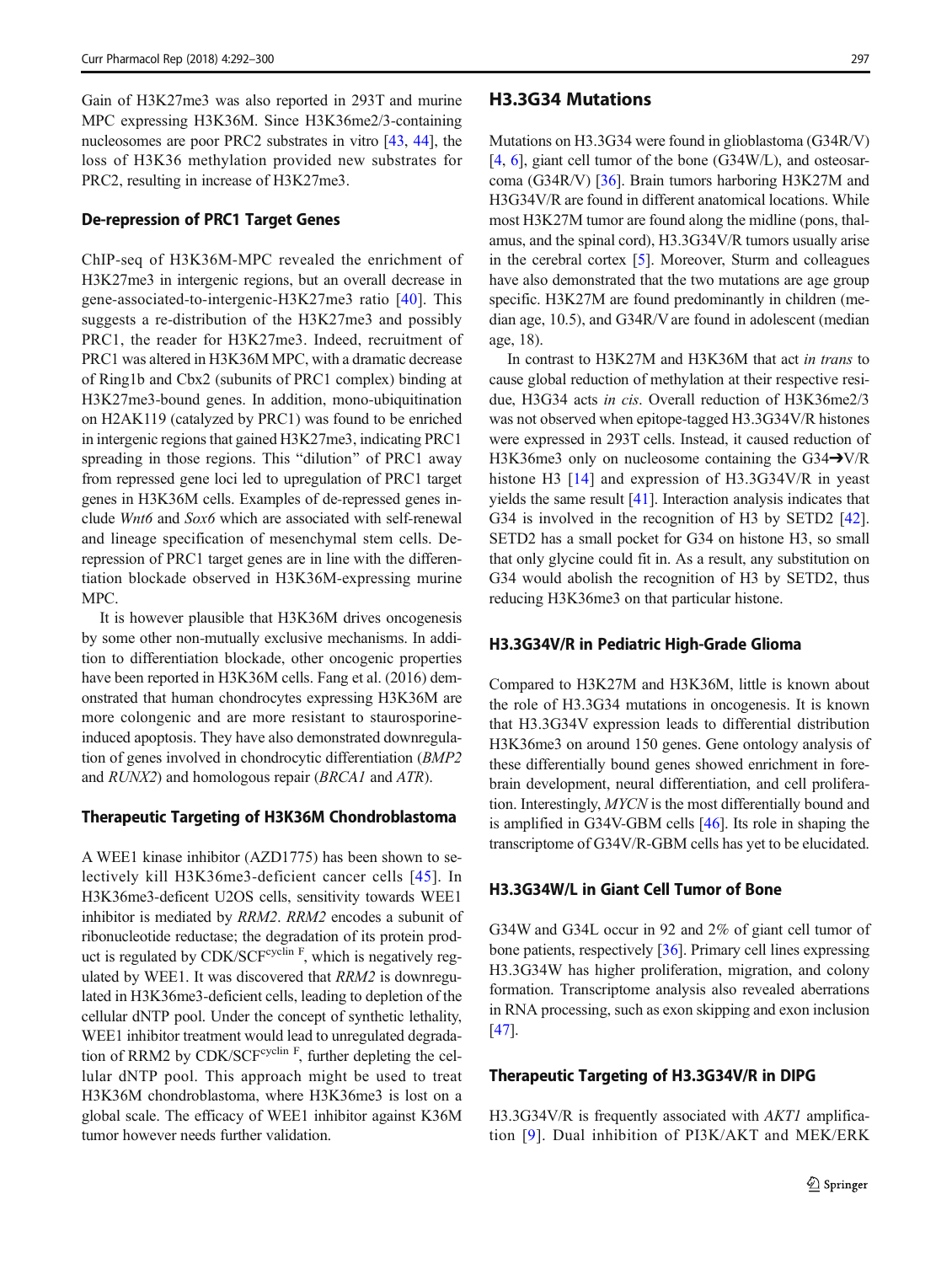Gain of H3K27me3 was also reported in 293T and murine MPC expressing H3K36M. Since H3K36me2/3-containing nucleosomes are poor PRC2 substrates in vitro [\[43](#page-9-0), [44](#page-9-0)], the loss of H3K36 methylation provided new substrates for PRC2, resulting in increase of H3K27me3.

#### De-repression of PRC1 Target Genes

ChIP-seq of H3K36M-MPC revealed the enrichment of H3K27me3 in intergenic regions, but an overall decrease in gene-associated-to-intergenic-H3K27me3 ratio [[40](#page-9-0)]. This suggests a re-distribution of the H3K27me3 and possibly PRC1, the reader for H3K27me3. Indeed, recruitment of PRC1 was altered in H3K36M MPC, with a dramatic decrease of Ring1b and Cbx2 (subunits of PRC1 complex) binding at H3K27me3-bound genes. In addition, mono-ubiquitination on H2AK119 (catalyzed by PRC1) was found to be enriched in intergenic regions that gained H3K27me3, indicating PRC1 spreading in those regions. This "dilution" of PRC1 away from repressed gene loci led to upregulation of PRC1 target genes in H3K36M cells. Examples of de-repressed genes include Wnt6 and Sox6 which are associated with self-renewal and lineage specification of mesenchymal stem cells. Derepression of PRC1 target genes are in line with the differentiation blockade observed in H3K36M-expressing murine MPC.

It is however plausible that H3K36M drives oncogenesis by some other non-mutually exclusive mechanisms. In addition to differentiation blockade, other oncogenic properties have been reported in H3K36M cells. Fang et al. (2016) demonstrated that human chondrocytes expressing H3K36M are more colongenic and are more resistant to staurosporineinduced apoptosis. They have also demonstrated downregulation of genes involved in chondrocytic differentiation (BMP2 and RUNX2) and homologous repair (BRCA1 and ATR).

#### Therapeutic Targeting of H3K36M Chondroblastoma

A WEE1 kinase inhibitor (AZD1775) has been shown to selectively kill H3K36me3-deficient cancer cells [[45](#page-9-0)]. In H3K36me3-deficent U2OS cells, sensitivity towards WEE1 inhibitor is mediated by RRM2. RRM2 encodes a subunit of ribonucleotide reductase; the degradation of its protein product is regulated by CDK/SCF $\text{cyclic}$ <sup>F</sup>, which is negatively regulated by WEE1. It was discovered that RRM2 is downregulated in H3K36me3-deficient cells, leading to depletion of the cellular dNTP pool. Under the concept of synthetic lethality, WEE1 inhibitor treatment would lead to unregulated degradation of RRM2 by CDK/SCF $\text{cyclic}$ <sup>F</sup>, further depleting the cellular dNTP pool. This approach might be used to treat H3K36M chondroblastoma, where H3K36me3 is lost on a global scale. The efficacy of WEE1 inhibitor against K36M tumor however needs further validation.

#### H3.3G34 Mutations

Mutations on H3.3G34 were found in glioblastoma (G34R/V) [\[4](#page-7-0), [6\]](#page-7-0), giant cell tumor of the bone (G34W/L), and osteosarcoma (G34R/V) [[36\]](#page-8-0). Brain tumors harboring H3K27M and H3G34V/R are found in different anatomical locations. While most H3K27M tumor are found along the midline (pons, thalamus, and the spinal cord), H3.3G34V/R tumors usually arise in the cerebral cortex [\[5\]](#page-7-0). Moreover, Sturm and colleagues have also demonstrated that the two mutations are age group specific. H3K27M are found predominantly in children (median age, 10.5), and G34R/V are found in adolescent (median age, 18).

In contrast to H3K27M and H3K36M that act in trans to cause global reduction of methylation at their respective residue, H3G34 acts in cis. Overall reduction of H3K36me2/3 was not observed when epitope-tagged H3.3G34V/R histones were expressed in 293T cells. Instead, it caused reduction of H3K36me3 only on nucleosome containing the G34➔V/R histone H3 [[14\]](#page-8-0) and expression of H3.3G34V/R in yeast yields the same result [\[41](#page-9-0)]. Interaction analysis indicates that G34 is involved in the recognition of H3 by SETD2 [[42\]](#page-9-0). SETD2 has a small pocket for G34 on histone H3, so small that only glycine could fit in. As a result, any substitution on G34 would abolish the recognition of H3 by SETD2, thus reducing H3K36me3 on that particular histone.

#### H3.3G34V/R in Pediatric High-Grade Glioma

Compared to H3K27M and H3K36M, little is known about the role of H3.3G34 mutations in oncogenesis. It is known that H3.3G34V expression leads to differential distribution H3K36me3 on around 150 genes. Gene ontology analysis of these differentially bound genes showed enrichment in forebrain development, neural differentiation, and cell proliferation. Interestingly, MYCN is the most differentially bound and is amplified in G34V-GBM cells [[46](#page-9-0)]. Its role in shaping the transcriptome of G34V/R-GBM cells has yet to be elucidated.

#### H3.3G34W/L in Giant Cell Tumor of Bone

G34W and G34L occur in 92 and 2% of giant cell tumor of bone patients, respectively [[36](#page-8-0)]. Primary cell lines expressing H3.3G34W has higher proliferation, migration, and colony formation. Transcriptome analysis also revealed aberrations in RNA processing, such as exon skipping and exon inclusion [\[47](#page-9-0)].

#### Therapeutic Targeting of H3.3G34V/R in DIPG

H3.3G34V/R is frequently associated with *AKT1* amplification [[9\]](#page-8-0). Dual inhibition of PI3K/AKT and MEK/ERK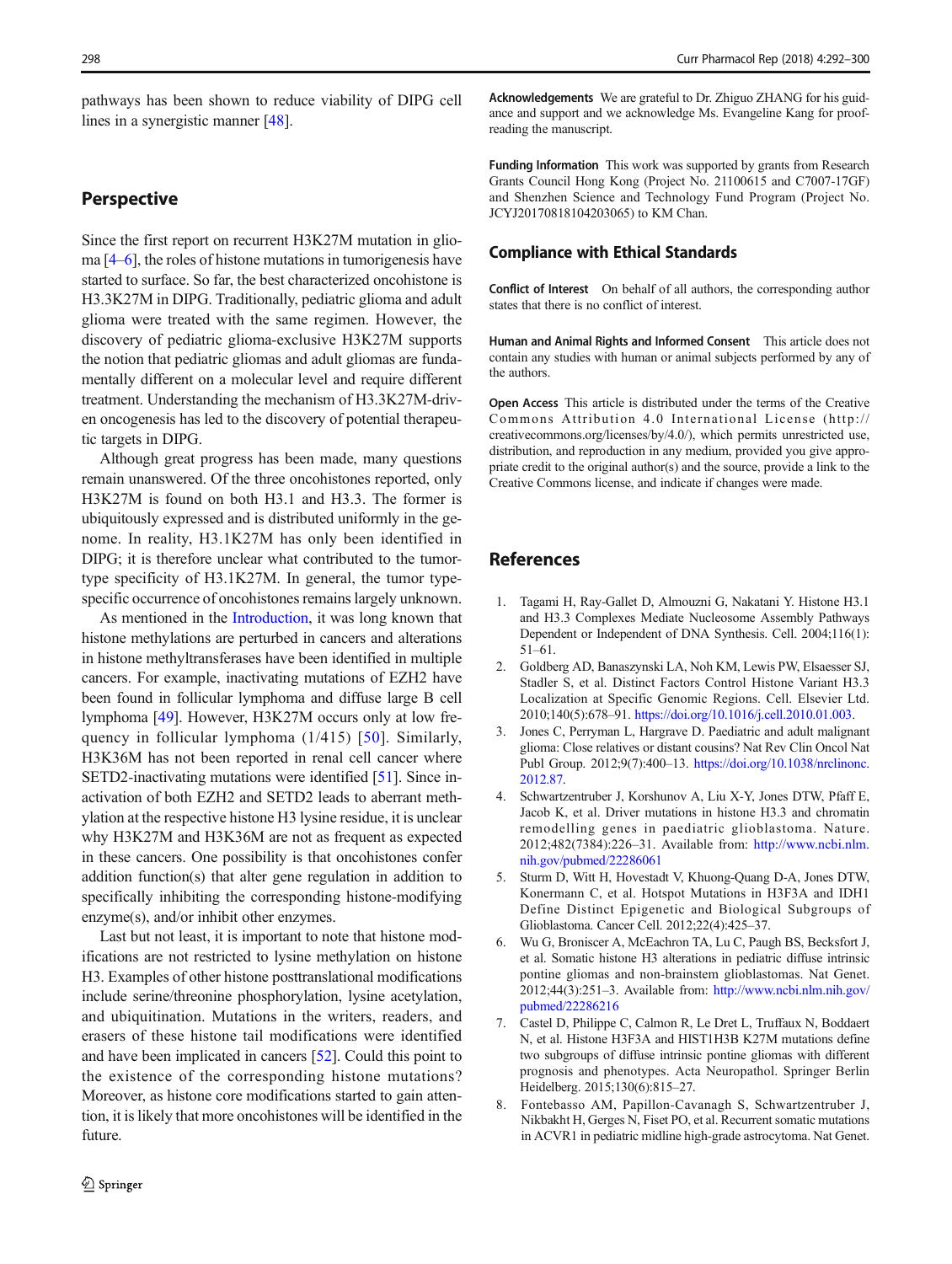<span id="page-7-0"></span>pathways has been shown to reduce viability of DIPG cell lines in a synergistic manner [\[48\]](#page-9-0).

#### **Perspective**

Since the first report on recurrent H3K27M mutation in glioma [4–6], the roles of histone mutations in tumorigenesis have started to surface. So far, the best characterized oncohistone is H3.3K27M in DIPG. Traditionally, pediatric glioma and adult glioma were treated with the same regimen. However, the discovery of pediatric glioma-exclusive H3K27M supports the notion that pediatric gliomas and adult gliomas are fundamentally different on a molecular level and require different treatment. Understanding the mechanism of H3.3K27M-driven oncogenesis has led to the discovery of potential therapeutic targets in DIPG.

Although great progress has been made, many questions remain unanswered. Of the three oncohistones reported, only H3K27M is found on both H3.1 and H3.3. The former is ubiquitously expressed and is distributed uniformly in the genome. In reality, H3.1K27M has only been identified in DIPG; it is therefore unclear what contributed to the tumortype specificity of H3.1K27M. In general, the tumor typespecific occurrence of oncohistones remains largely unknown.

As mentioned in the [Introduction](#page-1-0), it was long known that histone methylations are perturbed in cancers and alterations in histone methyltransferases have been identified in multiple cancers. For example, inactivating mutations of EZH2 have been found in follicular lymphoma and diffuse large B cell lymphoma [\[49\]](#page-9-0). However, H3K27M occurs only at low frequency in follicular lymphoma  $(1/415)$  [\[50\]](#page-9-0). Similarly, H3K36M has not been reported in renal cell cancer where SETD2-inactivating mutations were identified [\[51](#page-9-0)]. Since inactivation of both EZH2 and SETD2 leads to aberrant methylation at the respective histone H3 lysine residue, it is unclear why H3K27M and H3K36M are not as frequent as expected in these cancers. One possibility is that oncohistones confer addition function(s) that alter gene regulation in addition to specifically inhibiting the corresponding histone-modifying enzyme(s), and/or inhibit other enzymes.

Last but not least, it is important to note that histone modifications are not restricted to lysine methylation on histone H3. Examples of other histone posttranslational modifications include serine/threonine phosphorylation, lysine acetylation, and ubiquitination. Mutations in the writers, readers, and erasers of these histone tail modifications were identified and have been implicated in cancers [[52\]](#page-9-0). Could this point to the existence of the corresponding histone mutations? Moreover, as histone core modifications started to gain attention, it is likely that more oncohistones will be identified in the future.

Acknowledgements We are grateful to Dr. Zhiguo ZHANG for his guidance and support and we acknowledge Ms. Evangeline Kang for proofreading the manuscript.

Funding Information This work was supported by grants from Research Grants Council Hong Kong (Project No. 21100615 and C7007-17GF) and Shenzhen Science and Technology Fund Program (Project No. JCYJ20170818104203065) to KM Chan.

#### Compliance with Ethical Standards

Conflict of Interest On behalf of all authors, the corresponding author states that there is no conflict of interest.

Human and Animal Rights and Informed Consent This article does not contain any studies with human or animal subjects performed by any of the authors.

Open Access This article is distributed under the terms of the Creative Commons Attribution 4.0 International License (http:// creativecommons.org/licenses/by/4.0/), which permits unrestricted use, distribution, and reproduction in any medium, provided you give appropriate credit to the original author(s) and the source, provide a link to the Creative Commons license, and indicate if changes were made.

#### References

- 1. Tagami H, Ray-Gallet D, Almouzni G, Nakatani Y. Histone H3.1 and H3.3 Complexes Mediate Nucleosome Assembly Pathways Dependent or Independent of DNA Synthesis. Cell. 2004;116(1): 51–61.
- 2. Goldberg AD, Banaszynski LA, Noh KM, Lewis PW, Elsaesser SJ, Stadler S, et al. Distinct Factors Control Histone Variant H3.3 Localization at Specific Genomic Regions. Cell. Elsevier Ltd. 2010;140(5):678–91. <https://doi.org/10.1016/j.cell.2010.01.003>.
- 3. Jones C, Perryman L, Hargrave D. Paediatric and adult malignant glioma: Close relatives or distant cousins? Nat Rev Clin Oncol Nat Publ Group. 2012;9(7):400–13. [https://doi.org/10.1038/nrclinonc.](https://doi.org/10.1038/nrclinonc.2012.87) [2012.87](https://doi.org/10.1038/nrclinonc.2012.87).
- 4. Schwartzentruber J, Korshunov A, Liu X-Y, Jones DTW, Pfaff E, Jacob K, et al. Driver mutations in histone H3.3 and chromatin remodelling genes in paediatric glioblastoma. Nature. 2012;482(7384):226–31. Available from: [http://www.ncbi.nlm.](http://www.ncbi.nlm.nih.gov/pubmed/22286061) [nih.gov/pubmed/22286061](http://www.ncbi.nlm.nih.gov/pubmed/22286061)
- 5. Sturm D, Witt H, Hovestadt V, Khuong-Quang D-A, Jones DTW, Konermann C, et al. Hotspot Mutations in H3F3A and IDH1 Define Distinct Epigenetic and Biological Subgroups of Glioblastoma. Cancer Cell. 2012;22(4):425–37.
- 6. Wu G, Broniscer A, McEachron TA, Lu C, Paugh BS, Becksfort J, et al. Somatic histone H3 alterations in pediatric diffuse intrinsic pontine gliomas and non-brainstem glioblastomas. Nat Genet. 2012;44(3):251–3. Available from: [http://www.ncbi.nlm.nih.gov/](http://www.ncbi.nlm.nih.gov/pubmed/22286216) [pubmed/22286216](http://www.ncbi.nlm.nih.gov/pubmed/22286216)
- 7. Castel D, Philippe C, Calmon R, Le Dret L, Truffaux N, Boddaert N, et al. Histone H3F3A and HIST1H3B K27M mutations define two subgroups of diffuse intrinsic pontine gliomas with different prognosis and phenotypes. Acta Neuropathol. Springer Berlin Heidelberg. 2015;130(6):815–27.
- 8. Fontebasso AM, Papillon-Cavanagh S, Schwartzentruber J, Nikbakht H, Gerges N, Fiset PO, et al. Recurrent somatic mutations in ACVR1 in pediatric midline high-grade astrocytoma. Nat Genet.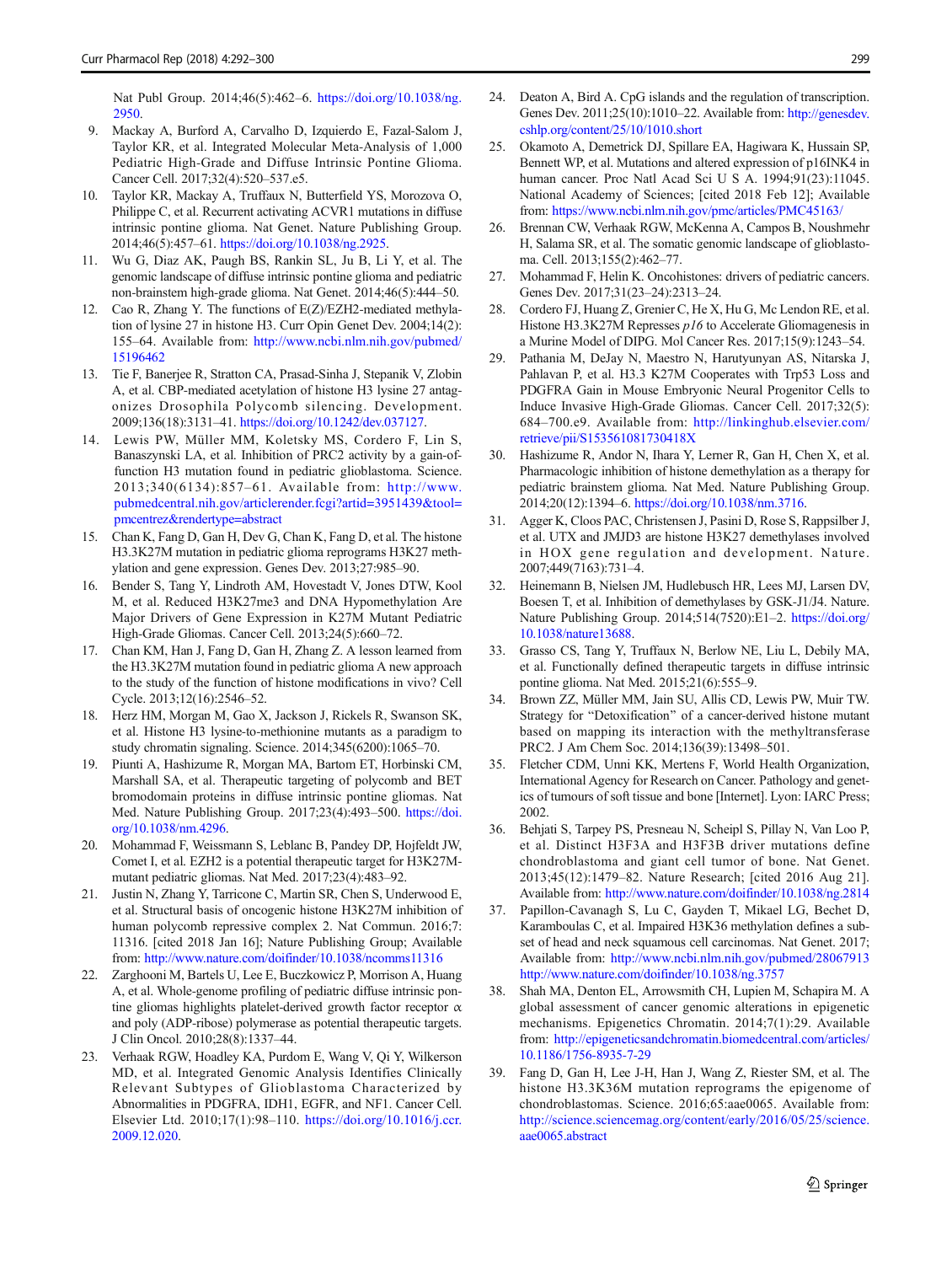<span id="page-8-0"></span>Nat Publ Group. 2014;46(5):462–6. [https://doi.org/10.1038/ng.](https://doi.org/10.1038/ng.2950) [2950](https://doi.org/10.1038/ng.2950).

- 9. Mackay A, Burford A, Carvalho D, Izquierdo E, Fazal-Salom J, Taylor KR, et al. Integrated Molecular Meta-Analysis of 1,000 Pediatric High-Grade and Diffuse Intrinsic Pontine Glioma. Cancer Cell. 2017;32(4):520–537.e5.
- 10. Taylor KR, Mackay A, Truffaux N, Butterfield YS, Morozova O, Philippe C, et al. Recurrent activating ACVR1 mutations in diffuse intrinsic pontine glioma. Nat Genet. Nature Publishing Group. 2014;46(5):457–61. [https://doi.org/10.1038/ng.2925.](https://doi.org/10.1038/ng.2925)
- 11. Wu G, Diaz AK, Paugh BS, Rankin SL, Ju B, Li Y, et al. The genomic landscape of diffuse intrinsic pontine glioma and pediatric non-brainstem high-grade glioma. Nat Genet. 2014;46(5):444–50.
- 12. Cao R, Zhang Y. The functions of E(Z)/EZH2-mediated methylation of lysine 27 in histone H3. Curr Opin Genet Dev. 2004;14(2): 155–64. Available from: [http://www.ncbi.nlm.nih.gov/pubmed/](http://www.ncbi.nlm.nih.gov/pubmed/15196462) [15196462](http://www.ncbi.nlm.nih.gov/pubmed/15196462)
- 13. Tie F, Banerjee R, Stratton CA, Prasad-Sinha J, Stepanik V, Zlobin A, et al. CBP-mediated acetylation of histone H3 lysine 27 antagonizes Drosophila Polycomb silencing. Development. 2009;136(18):3131–41. <https://doi.org/10.1242/dev.037127>.
- 14. Lewis PW, Müller MM, Koletsky MS, Cordero F, Lin S, Banaszynski LA, et al. Inhibition of PRC2 activity by a gain-offunction H3 mutation found in pediatric glioblastoma. Science. 2013;340(6134):857–61. Available from: [http://www.](http://www.pubmedcentral.nih.gov/articlerender.fcgi?artid=3951439&tool=pmcentrez&rendertype=abstract) [pubmedcentral.nih.gov/articlerender.fcgi?artid=3951439&tool=](http://www.pubmedcentral.nih.gov/articlerender.fcgi?artid=3951439&tool=pmcentrez&rendertype=abstract) [pmcentrez&rendertype=abstract](http://www.pubmedcentral.nih.gov/articlerender.fcgi?artid=3951439&tool=pmcentrez&rendertype=abstract)
- 15. Chan K, Fang D, Gan H, Dev G, Chan K, Fang D, et al. The histone H3.3K27M mutation in pediatric glioma reprograms H3K27 methylation and gene expression. Genes Dev. 2013;27:985–90.
- 16. Bender S, Tang Y, Lindroth AM, Hovestadt V, Jones DTW, Kool M, et al. Reduced H3K27me3 and DNA Hypomethylation Are Major Drivers of Gene Expression in K27M Mutant Pediatric High-Grade Gliomas. Cancer Cell. 2013;24(5):660–72.
- 17. Chan KM, Han J, Fang D, Gan H, Zhang Z. A lesson learned from the H3.3K27M mutation found in pediatric glioma A new approach to the study of the function of histone modifications in vivo? Cell Cycle. 2013;12(16):2546–52.
- 18. Herz HM, Morgan M, Gao X, Jackson J, Rickels R, Swanson SK, et al. Histone H3 lysine-to-methionine mutants as a paradigm to study chromatin signaling. Science. 2014;345(6200):1065–70.
- 19. Piunti A, Hashizume R, Morgan MA, Bartom ET, Horbinski CM, Marshall SA, et al. Therapeutic targeting of polycomb and BET bromodomain proteins in diffuse intrinsic pontine gliomas. Nat Med. Nature Publishing Group. 2017;23(4):493–500. [https://doi.](https://doi.org/10.1038/nm.4296) [org/10.1038/nm.4296](https://doi.org/10.1038/nm.4296).
- 20. Mohammad F, Weissmann S, Leblanc B, Pandey DP, Hojfeldt JW, Comet I, et al. EZH2 is a potential therapeutic target for H3K27Mmutant pediatric gliomas. Nat Med. 2017;23(4):483–92.
- 21. Justin N, Zhang Y, Tarricone C, Martin SR, Chen S, Underwood E, et al. Structural basis of oncogenic histone H3K27M inhibition of human polycomb repressive complex 2. Nat Commun. 2016;7: 11316. [cited 2018 Jan 16]; Nature Publishing Group; Available from: <http://www.nature.com/doifinder/10.1038/ncomms11316>
- 22. Zarghooni M, Bartels U, Lee E, Buczkowicz P, Morrison A, Huang A, et al. Whole-genome profiling of pediatric diffuse intrinsic pontine gliomas highlights platelet-derived growth factor receptor  $\alpha$ and poly (ADP-ribose) polymerase as potential therapeutic targets. J Clin Oncol. 2010;28(8):1337–44.
- 23. Verhaak RGW, Hoadley KA, Purdom E, Wang V, Qi Y, Wilkerson MD, et al. Integrated Genomic Analysis Identifies Clinically Relevant Subtypes of Glioblastoma Characterized by Abnormalities in PDGFRA, IDH1, EGFR, and NF1. Cancer Cell. Elsevier Ltd. 2010;17(1):98–110. [https://doi.org/10.1016/j.ccr.](https://doi.org/10.1016/j.ccr.2009.12.020) [2009.12.020](https://doi.org/10.1016/j.ccr.2009.12.020).
- 24. Deaton A, Bird A. CpG islands and the regulation of transcription. Genes Dev. 2011;25(10):1010–22. Available from: [http://genesdev.](http://genesdev.cshlp.org/content/25/10/1010.short) [cshlp.org/content/25/10/1010.short](http://genesdev.cshlp.org/content/25/10/1010.short)
- 25. Okamoto A, Demetrick DJ, Spillare EA, Hagiwara K, Hussain SP, Bennett WP, et al. Mutations and altered expression of p16INK4 in human cancer. Proc Natl Acad Sci U S A. 1994;91(23):11045. National Academy of Sciences; [cited 2018 Feb 12]; Available from: <https://www.ncbi.nlm.nih.gov/pmc/articles/PMC45163/>
- 26. Brennan CW, Verhaak RGW, McKenna A, Campos B, Noushmehr H, Salama SR, et al. The somatic genomic landscape of glioblastoma. Cell. 2013;155(2):462–77.
- 27. Mohammad F, Helin K. Oncohistones: drivers of pediatric cancers. Genes Dev. 2017;31(23–24):2313–24.
- 28. Cordero FJ, Huang Z, Grenier C, He X, Hu G, Mc Lendon RE, et al. Histone H3.3K27M Represses p16 to Accelerate Gliomagenesis in a Murine Model of DIPG. Mol Cancer Res. 2017;15(9):1243–54.
- 29. Pathania M, DeJay N, Maestro N, Harutyunyan AS, Nitarska J, Pahlavan P, et al. H3.3 K27M Cooperates with Trp53 Loss and PDGFRA Gain in Mouse Embryonic Neural Progenitor Cells to Induce Invasive High-Grade Gliomas. Cancer Cell. 2017;32(5): 684–700.e9. Available from: [http://linkinghub.elsevier.com/](http://linkinghub.elsevier.com/retrieve/pii/S153561081730418X) [retrieve/pii/S153561081730418X](http://linkinghub.elsevier.com/retrieve/pii/S153561081730418X)
- 30. Hashizume R, Andor N, Ihara Y, Lerner R, Gan H, Chen X, et al. Pharmacologic inhibition of histone demethylation as a therapy for pediatric brainstem glioma. Nat Med. Nature Publishing Group. 2014;20(12):1394–6. <https://doi.org/10.1038/nm.3716>.
- 31. Agger K, Cloos PAC, Christensen J, Pasini D, Rose S, Rappsilber J, et al. UTX and JMJD3 are histone H3K27 demethylases involved in HOX gene regulation and development. Nature. 2007;449(7163):731–4.
- 32. Heinemann B, Nielsen JM, Hudlebusch HR, Lees MJ, Larsen DV, Boesen T, et al. Inhibition of demethylases by GSK-J1/J4. Nature. Nature Publishing Group. 2014;514(7520):E1–2. [https://doi.org/](https://doi.org/10.1038/nature13688) [10.1038/nature13688](https://doi.org/10.1038/nature13688).
- 33. Grasso CS, Tang Y, Truffaux N, Berlow NE, Liu L, Debily MA, et al. Functionally defined therapeutic targets in diffuse intrinsic pontine glioma. Nat Med. 2015;21(6):555–9.
- 34. Brown ZZ, Müller MM, Jain SU, Allis CD, Lewis PW, Muir TW. Strategy for "Detoxification" of a cancer-derived histone mutant based on mapping its interaction with the methyltransferase PRC2. J Am Chem Soc. 2014;136(39):13498–501.
- 35. Fletcher CDM, Unni KK, Mertens F, World Health Organization, International Agency for Research on Cancer. Pathology and genetics of tumours of soft tissue and bone [Internet]. Lyon: IARC Press; 2002.
- 36. Behjati S, Tarpey PS, Presneau N, Scheipl S, Pillay N, Van Loo P, et al. Distinct H3F3A and H3F3B driver mutations define chondroblastoma and giant cell tumor of bone. Nat Genet. 2013;45(12):1479–82. Nature Research; [cited 2016 Aug 21]. Available from: <http://www.nature.com/doifinder/10.1038/ng.2814>
- 37. Papillon-Cavanagh S, Lu C, Gayden T, Mikael LG, Bechet D, Karamboulas C, et al. Impaired H3K36 methylation defines a subset of head and neck squamous cell carcinomas. Nat Genet. 2017; Available from: <http://www.ncbi.nlm.nih.gov/pubmed/28067913> <http://www.nature.com/doifinder/10.1038/ng.3757>
- 38. Shah MA, Denton EL, Arrowsmith CH, Lupien M, Schapira M. A global assessment of cancer genomic alterations in epigenetic mechanisms. Epigenetics Chromatin. 2014;7(1):29. Available from: [http://epigeneticsandchromatin.biomedcentral.com/articles/](http://epigeneticsandchromatin.biomedcentral.com/articles/10.1186/1756-8935-7-29) [10.1186/1756-8935-7-29](http://epigeneticsandchromatin.biomedcentral.com/articles/10.1186/1756-8935-7-29)
- 39. Fang D, Gan H, Lee J-H, Han J, Wang Z, Riester SM, et al. The histone H3.3K36M mutation reprograms the epigenome of chondroblastomas. Science. 2016;65:aae0065. Available from: [http://science.sciencemag.org/content/early/2016/05/25/science.](http://science.sciencemag.org/content/early/2016/05/25/science.aae0065.abstract) [aae0065.abstract](http://science.sciencemag.org/content/early/2016/05/25/science.aae0065.abstract)